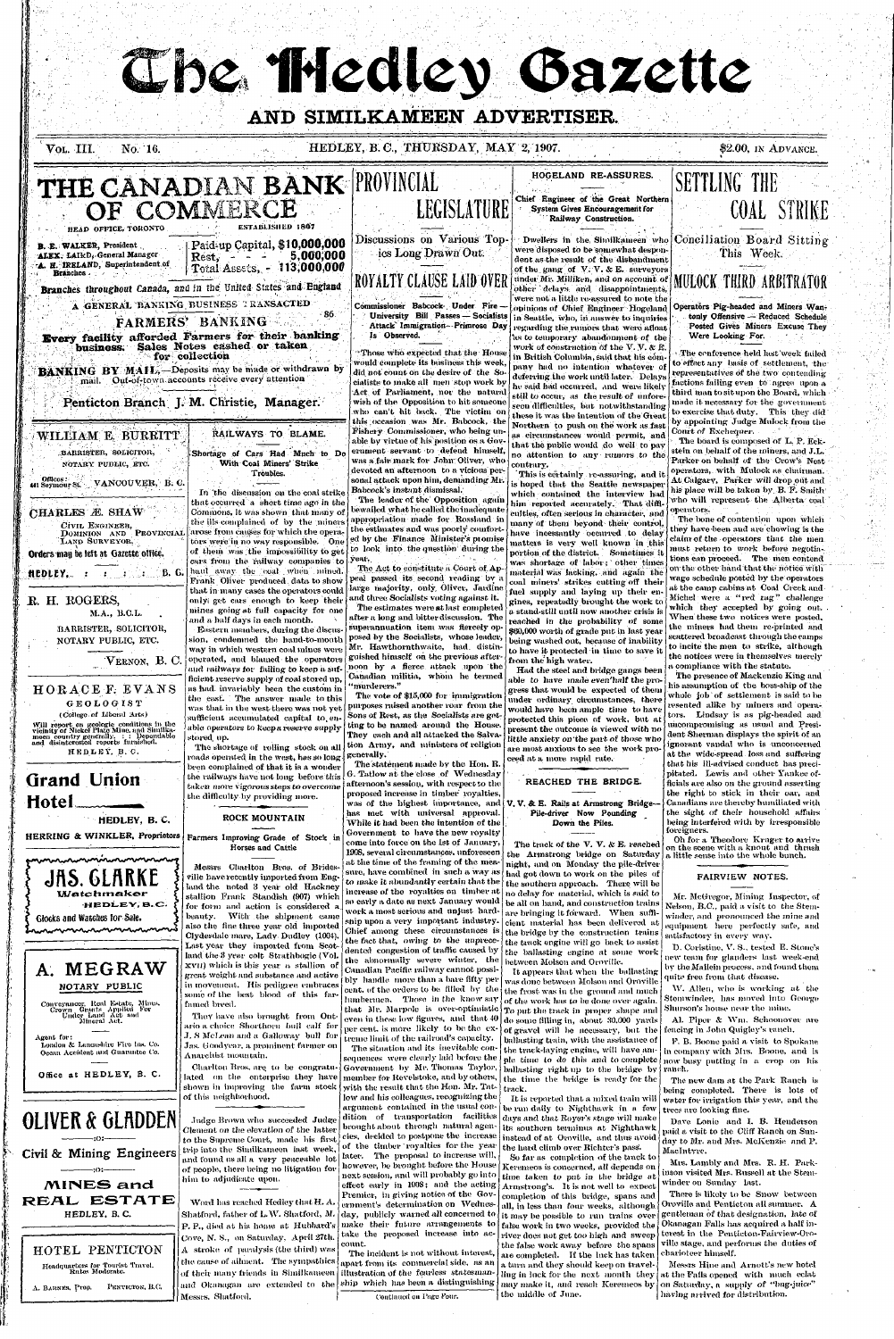**(** 

**;** 

The Medley Gazette

## **AND SIMILKAMEEN ADVERTISER.**

j

**VOL. III. NO. 16. NO. 18. HEDLEY, B. C., THURSDAY, MAY 2, 1907.** \$2.00, IN ADVANCE.

Judge Brown who succeeded Judge Clement on the elevation of the latter to the Supreme Court, made his first trip into the Similkameen last week, and found us all a very peaceable lot of people, there being no litigation for him to adjudicate upon.

Word has reached Hedley that H. A. Shatford, father of L.W. Shatford, M. P. P., died at his home at Hubbard's Cove, N. S., on Saturday, April 27th. A stroke of paralysis (the third) was the cause of ailment. The sympathies of their many friends in Similkameen and Okanagan are extended to the Messrs. Shatford.



Conveyancer, Real Estate, Mines,<br>Crown Grauts Applied For<br>Under Land Act<br>Mineral Act.

Agent for: London & Lancashire Kiro Ins. Co. Ocean Accident and Guarantee Co.

Office at HEDLEY, B. C.

# **OLIVER & GLADDEN**

**| N**

**:o:- Civil & Mining Engineers** 

**•:o:-**

Chief among these circumstances is the fact that, owing to the unprecedented congestion of traffic caused by the abnormally severe winter, the Canadian Pacific raihvay cannot possibly handle more than a bare fifty per cent, of the orders to be filled hy the lumbermen. Those in the know  $\mathit{say}|$ even in these low figures, and that  $40\,|\,$ per cent, is more likely to be the extreme limit of the railroad's capacity. The situation and its inevitable consequences were clearly laid before the Government by Mr. Thomas Taylor, member for Revelstoke, and by others, with the result that the Hon. Mr. Tatlow and his colleagues, recognizing the argument contained in the usual condition of transportation facilities brought about through natural agencies, decided to postpone the increase of the timber royalties for the year later. The proposal to increase will, however, be brought before the House next session, and will probably go into

also the fine three year old imported Clydesdale-mare, Lady Dudley (1004). Last year they imported from Scot land the-3 year colt Strathbogie (Vol. xvII) which is this year a stallion of great weight and substance and active in movement. His pedigree embraces some of the hest blood of this farfamed breed.

They have also brought from Ontario a. choice\* Shorthorn hull calf for J. S McLean and a Galloway bull for Jas. Goodyear, a prominent farmer on Anarchist mountain.

Charlton Bros. are. to be congratulated on the enterprise they have shown in improving the farm stock of this neighhorhood.



HOTEL PENTICTON Headquarters for Tourist Travel. Kates Moderate.

A. BAHNES, Prop. PKNTIGTON, B.C.

the bridge by the construction trains the track engine will go back to assist the ballasting engine at some work between Molson and Oroville.



that Mr. Marpole is over-optimistic  $T_0$  put the track in proper shape and It appears that when the ballasting was done between Molson and Oroville the frost was in the ground and much of the work has to be done over again. do some filling in, about 30.000 yards of gravel will be necessary, but the ballasting train, with the assistance of the track-laying engine, will have ample time to do this and to complete ballasting right up to the bridge by the time the bridge is ready for the

> It is reported that a mixed train will be run daily to Nighthawk in a few days and that Royer's stage will make its southern terminus at Nighthawk instead of at Oroville, and thus avoid the hard climb over Richter's pass'.

> So far as completion of the track to Keremeos is concerned, all depends on time taken to put in the bridge at Armstrong's. It is not well to expect completion of this bridge, spans and. all, in less than four weeks, although it may be possible to run trains over false work in two weeks, provided the. river does not get too high and sweep the false work away before the spans are completed. If the luck has taken a turn and they should keep on travelling in luck for the next month they may make it, and reach Keremeos by

the middle of June.

equipment here perfectly safe, and satisfactory in every way.

D. Coristine, V. S., tested E. Stone's new team for glanders last week-end by the Mallein process, and found them quite free from that disease.

W. Allen, who is working at the Stemwinder, has moved into George Shurson's house near the mine.

Al. Piper & Wm. Schoonover are fencing in John Quigley's ranch.

The new dam at the Park Ranch is being completed. There is lots of water for irrigation this year, and the trees are looking fine.

Dave Lonie and I. B. Henderson paid a visit to the Cliff Ranch on Sunday to Mr. and Mrs. McKenzie and P. Maclntyre.

There is likely to be Snow between Oroville and Penticton all summer. A gentleman of that designation, late of Okanagan Falls has acquired a half interest in the Penticton-Fairview-Oroville stage, and performs the duties of charioteer himself.

Messrs Hine and Arnott's new hotel at the Falls opened with much eclat on Saturday, a supply of "bug-juice" having arrived for distribution.

effect early in 190S; and the acting Premier, in giving notice of the Government's determination on Wednesday, publicly warned all concerned to make their future arrangements to take the proposed increase into account.

The incident is not without interest, apart from its commercial side, as an illustration of the fearless statesmanship which has been a distinguishing

Continued on Page Four.

track.

*V.* B. Boone paid a visit to Spokane in company with Mrs. Boone, and is now busy putting in a crop on his ranch.

Mrs. Lnmbly and Mrs. R. H. Parknson visited Mrs. Russell at the Stem-Avinder on Sunday last.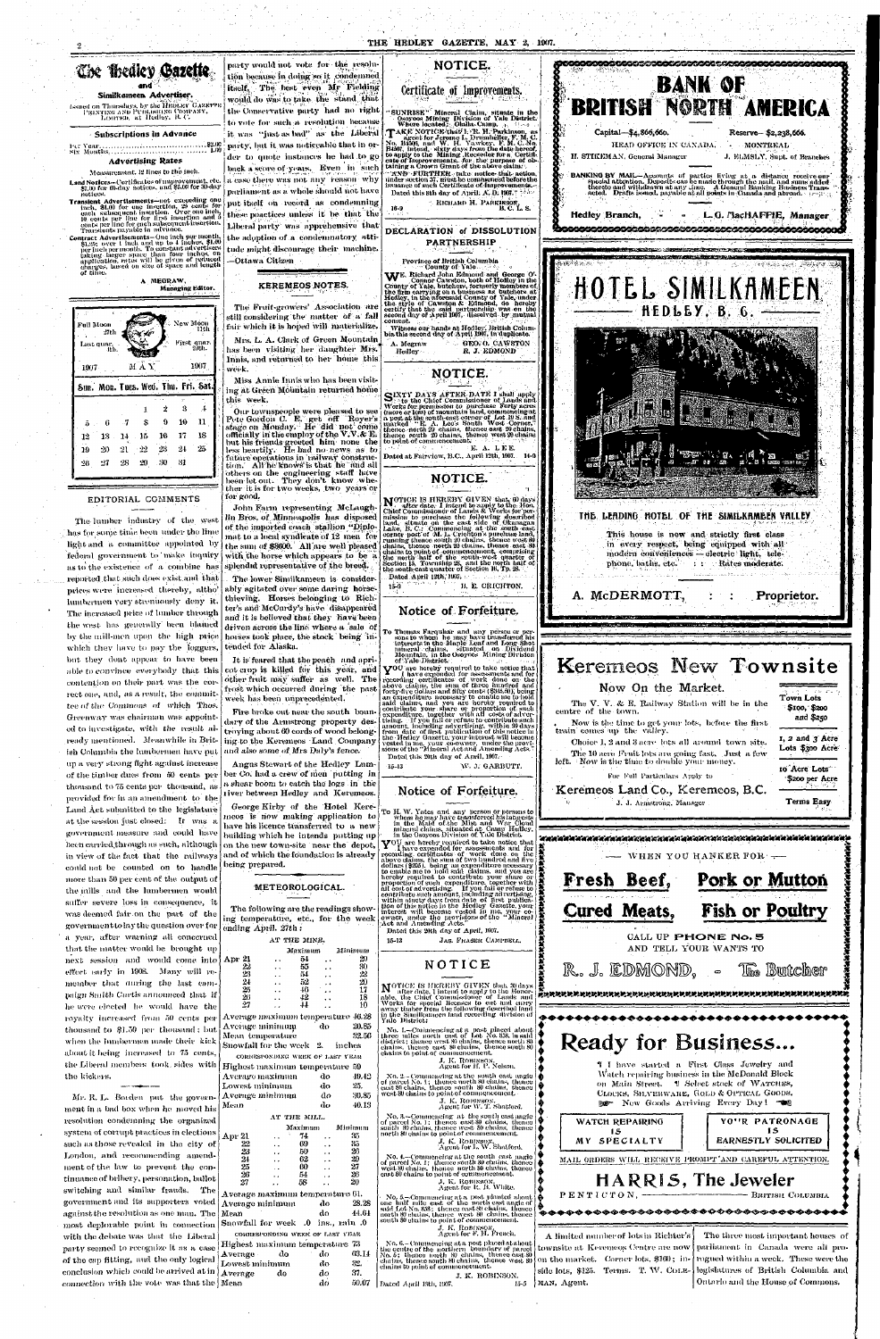### THE HEDLEY GAZETTE, MAY 2, 1007.



Greenway was chairman was appointed to investigate, with the result already mentioned. Meanwhile in British Columbia the lumbermen have put up a very strong fight against increase of the timber dues from 50 cents per thousand to 75 cents per thousand, as provided for in an amendment to the Land Act submitted to the legislature at the session just closed: It was a government measure and could have been carried through as such, although in view of the fact that the railways could not be counted on to handle more than 50 per cent of the output of the mills and the lumbermen would suffer severe loss in consequence, it was deemed fair on the part of the government to lay the question over for a year, after warning all concerned that the matter would be brought up next session and would come into A effect early in 1908. Many will remember that during the last campaign Smith Cartis announced that if he were elected he would have the royalty increased from 50 cents per lΛ thousand to \$1.50 per thousand; but when the lumbermen made their kick Sı

notices.

of time.

Full Moon

Last quar.

 $1007 -$ 

 $12$ 

19

 $26$ 

 $-2711$ 

13

 $-27$ 

- 14

 $21$ 

the kickers. Mr. R. L. Borden put the government in a bad box when he moved his resolution condemning the organized system of corrupt practices in elections such as those revealed in the city of London, and recommending amendment of the law to prevent the continuance of bribery, personation, ballot switching and similar frauds. The government and its supporters voted against the resolution as one man. The most deplorable point in connection with the debate was that the Liberal party seemed to recognize it as a case of the cap fitting, and the only logical conclusion which could be arrived at in  $\mathcal{L}_{\mathcal{A}}$ connection with the vote was that the  $\mathbb{N}$ 

troving about 60 cords of wood belonging to the Keremeos Land Company and also some of Mrs Daly's fence.

Angus Stewart of the Hedley Lumber Co, had a crew of men putting in a shear boom to catch the logs in the river between Hedley and Keremeos.

George Kirby of the Hotel Keremeos is now making application to have his licence transferred to a new building which he intends putting up on the new town-site near the depot, and of which the foundation is already being prepared.

### METEOROLOGICAL.

The following are the readings showing temperature, etc., for the week ending  $April. 27th.$ 

| a year, after warning all concerned     | AT THE MINE.                                  |                                  |
|-----------------------------------------|-----------------------------------------------|----------------------------------|
| that the matter would be brought up.    | Maximum                                       | Minimum                          |
| next session and would come into Apr 21 | 54<br>. .                                     | 29<br>$\ddot{\phantom{a}}$       |
| effect early in 1908. Many will re-     | 22<br>55                                      | 30<br>$\ddot{\phantom{0}}$       |
|                                         | 23<br>54<br>$\ddot{\phantom{0}}$              | 22<br>$\ddot{\phantom{0}}$       |
| member that during the last cam-        | $\frac{24}{25}$<br>52<br>$\ddot{\phantom{a}}$ | 20<br>$\cdot$ $\cdot$            |
| paign Smith Cartis announced that if    | -16<br>$\ddot{\phantom{0}}$<br>26<br>42       | 17<br>$\ddot{\phantom{a}}$<br>18 |
|                                         | 27<br>44                                      | $\ddot{\phantom{a}}$<br>10       |
| he were elected he would have the       |                                               | $\ddot{\phantom{0}}$             |
| royalty increased from 50 cents per     | Average maximum temperature 46.28             |                                  |
| thousand to \$1.50 per thousand; but    | Average minimum                               | 20.85<br>-do                     |
|                                         | Mean temperature                              | 32.56                            |
| when the lumbermen made their kick      | Snowfall for the week 2.                      | inches                           |
| about it being increased to 75 cents,   | CORRESPONDING WEEK OF LAST YEAR               |                                  |
| the Liberal members took, sides with    | Highest maximum temperature 59                |                                  |
| the kickers.                            | Average maximum                               | $49.42^{\circ}$<br>do            |
|                                         | Lowest minimum                                | 25.<br>do                        |
| Mr. R. L. Borden put the govern-        | Average minimum                               | 30.85<br>do.                     |
| ment in a bad box when he moved his     | Mean                                          | 40.13<br>do                      |
| resolution condemning the organized     | AT THE MILL.                                  |                                  |

|                                          |                      | AT THE MILL.                    |                      |         | No. 3.-Commencing                                     |
|------------------------------------------|----------------------|---------------------------------|----------------------|---------|-------------------------------------------------------|
|                                          |                      | Maximum                         |                      | Minimum | of parcel No. 1; thenc<br>south 80 chains, thene      |
| Apr 21                                   | ٠.                   | 74                              | . .                  | 35      | north 80 chains to poin                               |
| 22                                       | $\ddot{\phantom{a}}$ | 69                              | $\ddot{\phantom{0}}$ | 35      | J. K<br>Ακε                                           |
| 23                                       | . .                  | 50                              | $\ddot{\phantom{0}}$ | 20      |                                                       |
| 24                                       | $\ddot{\phantom{a}}$ | 62                              | $\ddot{\phantom{0}}$ | 29      | No. 4.-Commencing<br>of parcel No. 1; thenc           |
| 25                                       | . .                  | 60                              | $\ddot{\phantom{0}}$ | 27      | west 80 chains, thence                                |
| 26                                       |                      | 54                              | $\ddot{\phantom{0}}$ | 26      | east 80 chains to point                               |
| 27                                       |                      | 58                              |                      | 20      | J. K                                                  |
| $\Lambda$ verage maximum temperature 61. |                      |                                 |                      |         | Are                                                   |
|                                          |                      |                                 |                      |         | $\sim$ No. 5. $\pm$ Commencing                        |
| Lverage minimum                          |                      |                                 | do.                  | 28.28   | one half mile east of<br>smid Lot No. 858; then       |
| $_{\mathrm{fenn}}$                       |                      |                                 | do                   | 44.64   | north 80 clutins, thence                              |
| 0. Snowfall for week 0. ins., rain:      |                      |                                 |                      |         | south 80 chains to poin                               |
|                                          |                      | CORRESPONDING WEEK OF LAST YEAR |                      |         | J. K<br>Age                                           |
| Iighest maximum temperature 73           |                      |                                 |                      |         | No. 6.– Commencing                                    |
| \verage -                                | do                   |                                 | do                   | 63.14   | the centre of the mortl<br>No. 5; thence north $\ell$ |
| owest minimum                            |                      |                                 | do                   | 32.     | chains, thence south 8<br>chains to point of comp     |
| verage.                                  | do                   |                                 | do                   | 37.     |                                                       |
| Iean                                     |                      |                                 | do                   | 50.07   | Dated April 19th, 1907.                               |
|                                          |                      |                                 |                      |         |                                                       |

tising. The you had or remission community and dividend<br>from date of first publication of this sodice in<br>the Hedley Gazette, your interest will become<br>vested in me. your co-owner, under the provisions of the "Mineral Act a Dated this 20th day of April, 1907.

W. J. GARBUTT.  $-15-13$ 

### Notice of Forfeiture.

To H. W. Yates and any person or persons to<br>whom he may have transferred his interests<br>in the Mald of the Mist and War Cloud<br>mineral claims, situated at Camp Hedley,<br>in the Osoyoos Division of Yale District.

in the Osoyoos Division of Yale District.<br>
YOU are hereby required to take notice that<br>
YOU are hereby required to take notice that<br>
recording certificates of work done on the<br>
above claims, the sum of two hundred and five Dated this 20th day of April, 1907.

JAS. FRASER CAMPBELL.

J. K. ROBINSON.

15-5

MAN, Agent.

### NOTICE

 $15 - 13$ 



Choice 1, 2 and 3 acre lots all around town site.

The 10 acre Fruit lots are going fast. Just a few

For Full Particulars Apply to

Keremeos Land Co., Keremeos, B.C.

J. J. Armstrong, Manager

left. Now is the time to double your money.

parliament in Canada were all prorogued within a week. These were the side lots, \$125. Terms. T. W. COLElegislatures of British Columbia and Ontario and the House of Commons.

**IS** 

1, 2 and 3 Acre

Lots \$300 Acre

10 Acre Lots

\$200 per Acre

**Terms Easy** 

**Builcher**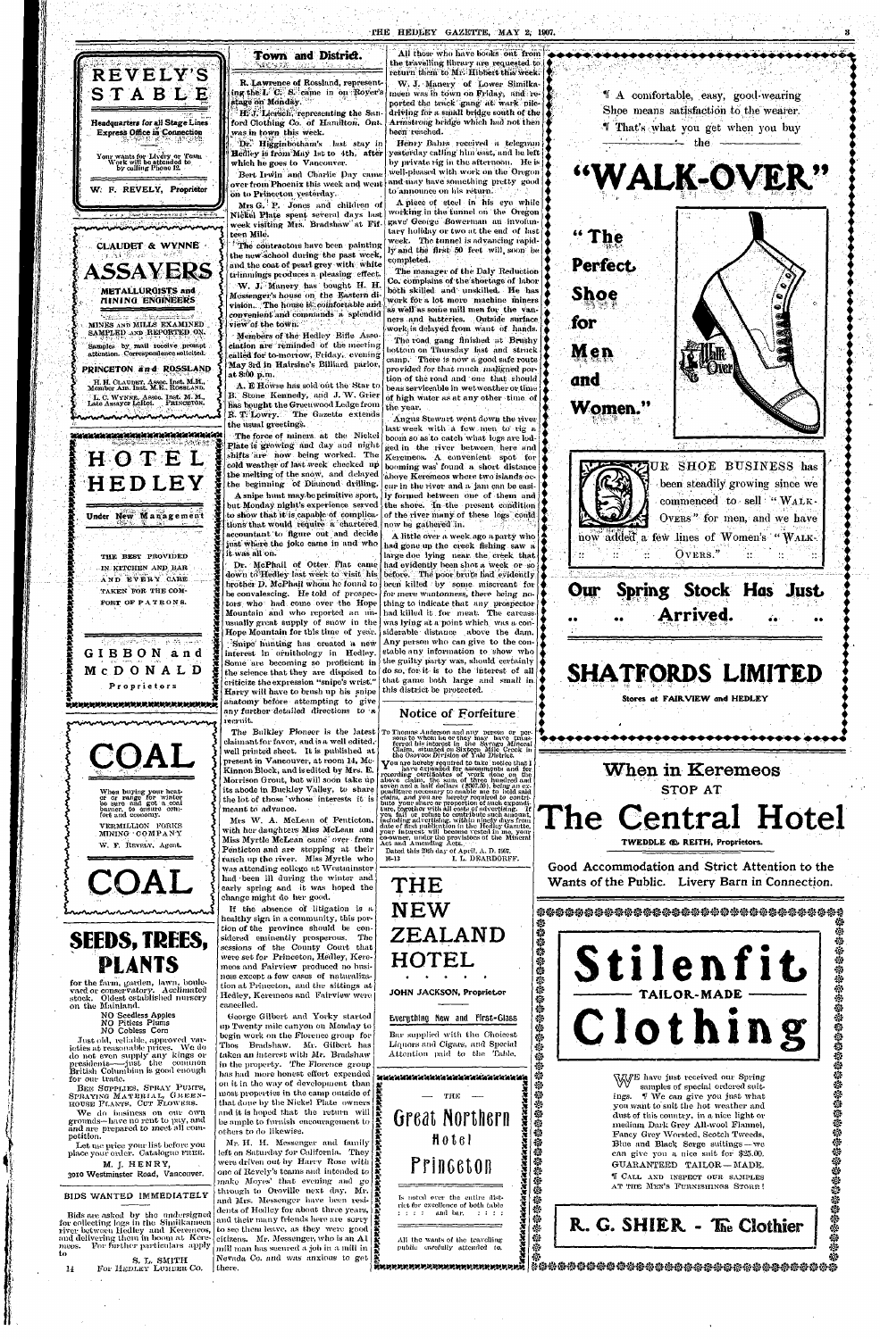*H* 



## **Town and District.**



**i** *I* 

*X* 

Let me price your list before you place your order. Catalogue FREE.

M. J. HENRY. 3010 Westminster Road, Vancouver.

*X X* 

When buying your heat-<br>er or range for winter<br>be sure and get a coal<br>burner, to ensure com-<br>fort and economy.

VERMILLION FORKS MINING COMPANY W. F. REVELY, Agent.



S. L. SMITH 14 For HEDLEY LUMBER CO.

# **SEEDS, PLANTS**

for the farm, garden, lawn, boulevard or conservatory. Acclimated stock. Oldest established nursery on the Mainland.

> NO Seedless Apples NO Pitless Plums NO Cobless Corn

Bert Irwin and Charlie Day came over from Phoenix this week and went and may have something pretty good on to Princeton yesterday.

Just old, reliahle, approved varieties at reasonable prices. We do do not even supply any kings or presidents-just the common British Columbian is good enough for our trade.

BEE SUPPLIES, SPRAY PUMPS, SPRAYING: MATERIAL, GREEN-HOUSE PLANTS, CUT FLOWERS.

The contractors have been painting the new school during the past week, and the coat of pearl grey with white trimmings produces a pleasing effect.

W. J. Manery has bought H. H. Messenger's house on the Eastern division. The house is comfortable and convenient and commands a splendid view of the town.

We do business on our own grounds—have no rent to pay, and and are prepared to meet nil competition.

A. E Howse has sold out the Star to B. Stone Kennedy, and J. W. Grier has bought the Greenwood Ledge from **R. T. Lowry.** The Gazette extends the usual greetings.

### BIDS WANTED IMMEDIATELY

tions that would require a chartered accountant to figure out and decide just where the joke came in and who

Bids are asked by the undersigned for collecting logs in the Similkameen river between Hedley and Keremeos, and delivering them in boom at Keremeos. For further particulars apply to

Dr. McPhail of Otter Flat came down to'Hedley last week to visit his brother D. McPhail whom he found to be convalescing. He told of prospectors who had come over the Hope Mountain and who reported an unusually great supply of snow in the Hope Mountain for this time of year. .Snipe' hunting has created a new interest in ornithology in Hedley. Some are becoming so proficient in the science that they are disposed to criticize the expression "snipe's wrist." Harry will have to brush up his snipe anatomy before attempting to give any further detailed directions to  $a$ 

All those who have books out from the travelling library are requested to  $\operatorname{return}$  them to  $\operatorname{Mr. Hibbert}$  this week.

R. Lawrence of Rossland, representing the'I. C. S. came in on Royer's stage on Monday. HI'J. Liersch, representing the San-

ford Clothing Co. of Hamilton, Ont. was in town this week. Dr. Higginbotham's last stay in

Hedley is from May 1st to 4th, after which he goes to Vancouver.

The Bulkley Pioneer is the latest claimant for favor, and is a well edited,well printed sheet. It is published at present in Vancouver, at room 14, Mc-Kinnon Block, and is edited by Mrs. E. Morrison Grout, but will soon take up its abode in Buckley Valley, to share the lot of those 'whose interests it is meant to advance.

Mrs *G.* P. Jones and children of Nickel Plate spent several days last week visiting Mrs. Bradshaw at Fifteen Mile.

George Gilbert and Yorky started up Twenty mile canyon on Monday to begin work on the Florence group for Thos Bradshaw. Mr. Gilbert has taken an interest with Mr. Bradshaw in the property. The Florence group has had more honest effort expended on it in the way of development than most properties in the camp outside of  $\frac{1}{2}$ that done by the Nickel Plate owners  $\frac{1}{2}$ and it is hoped that the return  $\lceil \text{will} \rceil$ be ample to furnish encouragement to *K*  others to do likewise. Mr. H, H. Messenger and family left on Saturday for California. They were driven out by Harry Rose with

Members of the Hedley Rifle Association are reminded of the meeting called for to-morrow, Friday, evening May 3rd in Hairsine's Billiard parlor, at 8:00 p.m.

The force of miners at the Nickel Plate is growing and day and night shifts are now being worked. The cold weather of last week checked up the melting of the snow, and delayed the beginning of Diamond drilling. A snipe hunt may be primitive sport,

Henry Bahrs received a telegram yesterday calling hhn east, and he left by private rig in the afternoon. He is well-pleased with work on the Oregon to announce on his return.

A piece of steel in his eye while Avorking in the funnel on the Oregon gave' George Bowerman an involuntary holiday or two at the end of last week. The tunnel is advancing rapidly and the first 50 feet will soon be completed.

recruit.



A little over a week ago a party who had gone up the creek fishing saw a large doe lying near the creek that had evidently been shot a week or so before. The poor brute had evidently been killed by some miscreant for for mere wantonness, there being nothing to indicate that any prospector had killed it. for meat. The carcass was lying at a point which was a considerable distance above the dam. Any person who can give to the constable any information to show who the guilty party was, should certainly do so, for it is to the interest of all that game both large and small in this district be protected.

Mrs W. A. McLean of Penticton. with her daughters Miss McLean and Miss Myrtle McLean came over from Penticton and are stopping at their ranch up the river. Miss Myrtle who was attending college at Westminster had been ill during the winter and early spring and it was hoped the change might do her good.

Dated this 29th day of April, A. D. 1907. **1. L. DEARDORFF.** 

If the absence of litigation is a healthy sign in a community, this portion of the province should be considered eminently prosperous. The sessions of the County Court that were set for Princeton, Hedley, Keremeos and Fairview produced no business except a few cases of naturalization at Princeton, and the sittings at Hedley, Keremeos and Fairview were cancelled.

**SHATFORDS LIMITED**  Stores at FAIR.VIEW and HEDLEY

Bar supplied with the Choicest Liquors and Cigars, and Special Attention paid to the Table.

Is noted over the entire district for excellence of both tabic  $: : : : \quad \text{and bar.} \quad : : : :$ 

All the wants of the travelling public carefully attended to.

one of Revely's teams and intended to make Moyes' that evening and go through to Oroville next day. Mr. and Mrs. Messenger have been residents of Hedley for about three years, and their many friends here are sorry to see them leave, as they were good citizens. Mr. Messenger, who is an Al mill man has secured a, job in a mill in Nevada Co. and was a<mark>nx</mark>ious to get there.

To Thomas Anderson and any person or persons to whom he or they may have trans-<br>ferred bis interest in the Savage Mineral<br>Claim, situated on Sixteen Mile Creek in<br>the Osoyoos Division of Yale District.

You are hereby required to take notice that I have expended for assessments and for recording correlations of work done on the above claim, the same of three hundred and seven and a half dollars (\$307.50), being an exponditure necessary to enable me to hold said claim, and you are hereby required to contribute your shure or proportion of such expenditure, together with all costs of advertising. If you fail or refuse to contribute such

W. J. Manery of Lower Similkameen was in town on Friday, and reported the track gang at wark piledriving for a small bridge south of the Armstrong bridge which had not then been reached.

The manager of the Daly Reduction Co. complains of the shortage of labor both skilled and unskilled. He has work for a lot more machine miners as well as some mill men for the vanners and batteries. Outside surface work is delayed from want of hands. The road gang finished at Brushy bottom on Thursday last and struck camp. There is now a good safe route provided for that much maligned portion of the road and one that should be as serviceable in wet weather or time  $\vert$ of high water as at any other time of the year.

 $\ddot{\hat{\mathbf{y}}}$  :

**1** 







**for** 

**Men** 

but Monday night's experience served the shore. In the present condition to show that it is capable of complica- of the river many of these logs could Angus Stewart went down the river last week with a few men to rig a boom so as to catch what logs are lodged in the river between here and Keremeos. A convenient spot for booming was" found a short distance aboye Keremeos where two islands occur in the river and a jam can be easily formed between one of them and now be gathered in.

**and** 

*i* 

SUE SHOE BUSINESS has been steadily growing since we commenced to sell "WALK - Overs" for men, and we have how addect a few lines of Women's "^VALK-

## Our Spring Stock Has Just Arrived.

 $O$  $v$ ERS."

### Notice of Forfeiture

**!** 

"WALK-OVER"

# **THE NEW ZEALAND HOTEL**

**\*\*\*\* \*** 

Everything New and First-Glass

JOHN JACKSON, Proprietor





*X X* 

*x X X X X K K x x x x x x x X X X X K*  **i** 

Great Northern

**Hote l** 

Princeton